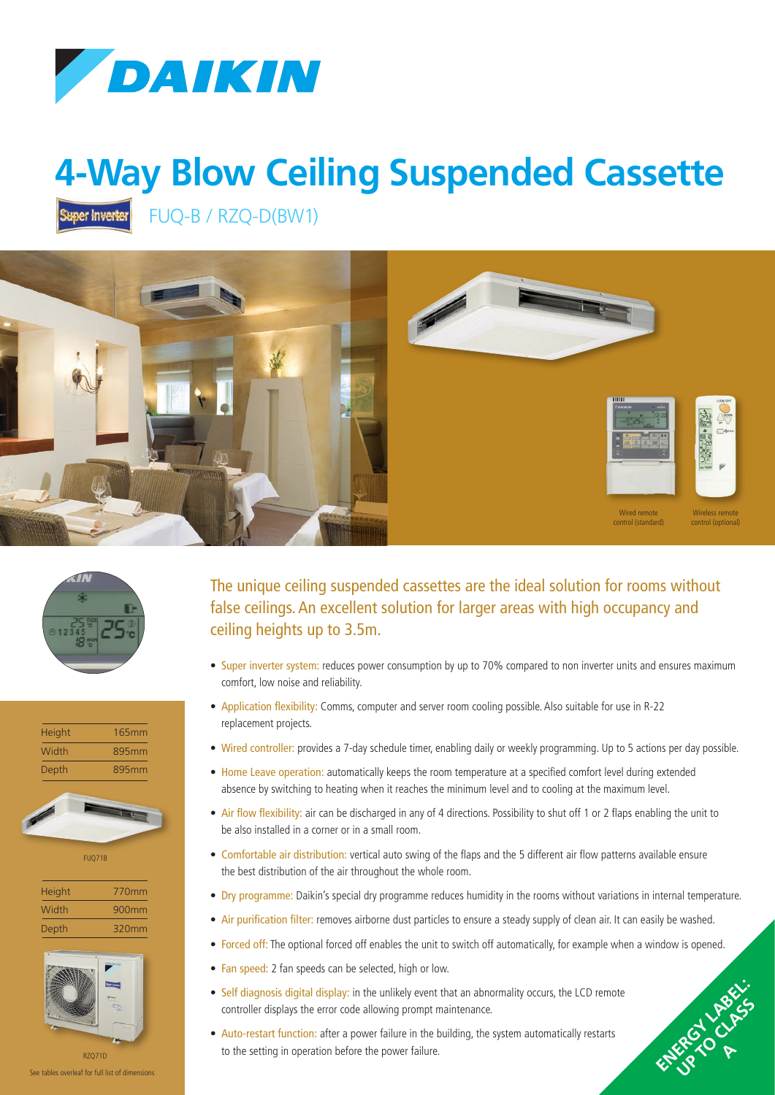

## **4-Way Blow Ceiling Suspended Cassette**

Super Inverter

FUQ-B / RZQ-D(BW1)









FUQ71B

| Height | 770mm |
|--------|-------|
| Width  | 900mm |
| Depth  | 320mm |



See tables overleaf for full list of dimensions

The unique ceiling suspended cassettes are the ideal solution for rooms without false ceilings. An excellent solution for larger areas with high occupancy and ceiling heights up to 3.5m.

- Super inverter system: reduces power consumption by up to 70% compared to non inverter units and ensures maximum comfort, low noise and reliability.
- Application flexibility: Comms, computer and server room cooling possible. Also suitable for use in R-22 replacement projects.
- Wired controller: provides a 7-day schedule timer, enabling daily or weekly programming. Up to 5 actions per day possible.
- Home Leave operation: automatically keeps the room temperature at a specified comfort level during extended absence by switching to heating when it reaches the minimum level and to cooling at the maximum level.
- Air flow flexibility: air can be discharged in any of 4 directions. Possibility to shut off 1 or 2 flaps enabling the unit to be also installed in a corner or in a small room.
- Comfortable air distribution: vertical auto swing of the flaps and the 5 different air flow patterns available ensure the best distribution of the air throughout the whole room.
- Dry programme: Daikin's special dry programme reduces humidity in the rooms without variations in internal temperature.

ENERGY LABEL: UP TO CLASS P **A**

- Air purification filter: removes airborne dust particles to ensure a steady supply of clean air. It can easily be washed.
- Forced off: The optional forced off enables the unit to switch off automatically, for example when a window is opened.
- Fan speed: 2 fan speeds can be selected, high or low.
- Self diagnosis digital display: in the unlikely event that an abnormality occurs, the LCD remote controller displays the error code allowing prompt maintenance.
- Auto-restart function: after a power failure in the building, the system automatically restarts to the setting in operation before the power failure.